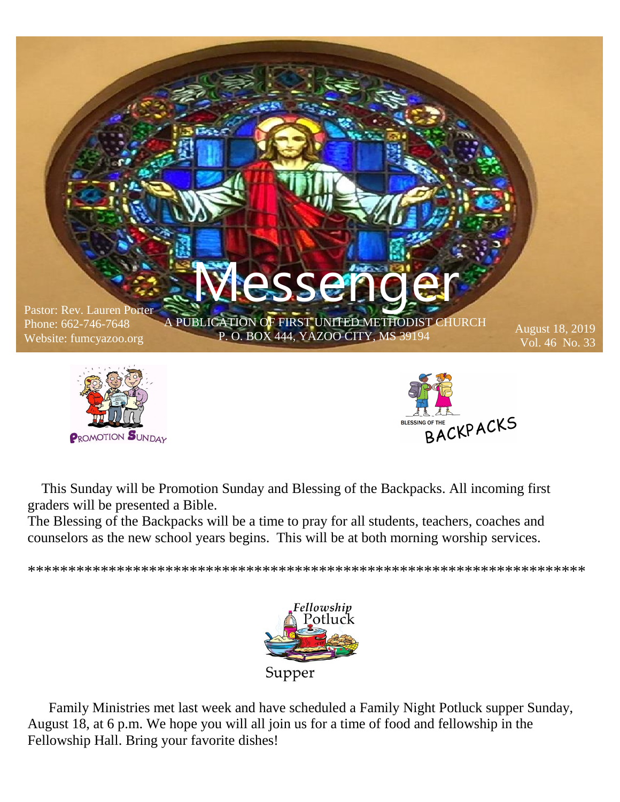

 This Sunday will be Promotion Sunday and Blessing of the Backpacks. All incoming first graders will be presented a Bible.

The Blessing of the Backpacks will be a time to pray for all students, teachers, coaches and counselors as the new school years begins. This will be at both morning worship services.

\*\*\*\*\*\*\*\*\*\*\*\*\*\*\*\*\*\*\*\*\*\*\*\*\*\*\*\*\*\*\*\*\*\*\*\*\*\*\*\*\*\*\*\*\*\*\*\*\*\*\*\*\*\*\*\*\*\*\*\*\*\*\*\*\*\*\*\*\*



 Family Ministries met last week and have scheduled a Family Night Potluck supper Sunday, August 18, at 6 p.m. We hope you will all join us for a time of food and fellowship in the Fellowship Hall. Bring your favorite dishes!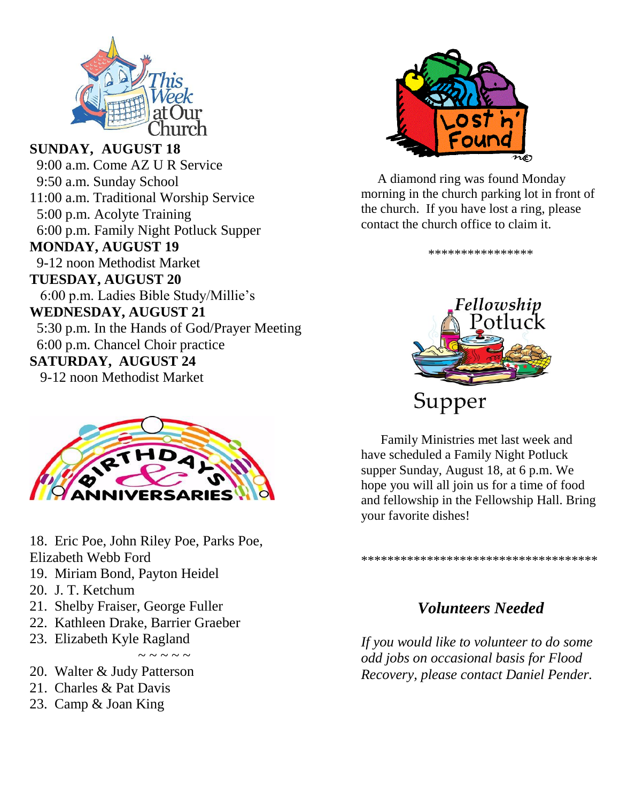

**SUNDAY, AUGUST 18** 9:00 a.m. Come AZ U R Service 9:50 a.m. Sunday School 11:00 a.m. Traditional Worship Service 5:00 p.m. Acolyte Training 6:00 p.m. Family Night Potluck Supper **MONDAY, AUGUST 19** 9-12 noon Methodist Market **TUESDAY, AUGUST 20** 6:00 p.m. Ladies Bible Study/Millie's **WEDNESDAY, AUGUST 21** 5:30 p.m. In the Hands of God/Prayer Meeting 6:00 p.m. Chancel Choir practice **SATURDAY, AUGUST 24** 9-12 noon Methodist Market



18. Eric Poe, John Riley Poe, Parks Poe, Elizabeth Webb Ford

- 19. Miriam Bond, Payton Heidel
- 20. J. T. Ketchum
- 21. Shelby Fraiser, George Fuller
- 22. Kathleen Drake, Barrier Graeber
- 23. Elizabeth Kyle Ragland

 $\sim$   $\sim$   $\sim$   $\sim$   $\sim$ 

- 20. Walter & Judy Patterson
- 21. Charles & Pat Davis
- 23. Camp & Joan King



 A diamond ring was found Monday morning in the church parking lot in front of the church. If you have lost a ring, please contact the church office to claim it.

\*\*\*\*\*\*\*\*\*\*\*\*\*\*\*\*



 Family Ministries met last week and have scheduled a Family Night Potluck supper Sunday, August 18, at 6 p.m. We hope you will all join us for a time of food and fellowship in the Fellowship Hall. Bring your favorite dishes!

\*\*\*\*\*\*\*\*\*\*\*\*\*\*\*\*\*\*\*\*\*\*\*\*\*\*\*\*\*\*\*\*\*\*\*\*

#### *Volunteers Needed*

*If you would like to volunteer to do some odd jobs on occasional basis for Flood Recovery, please contact Daniel Pender.*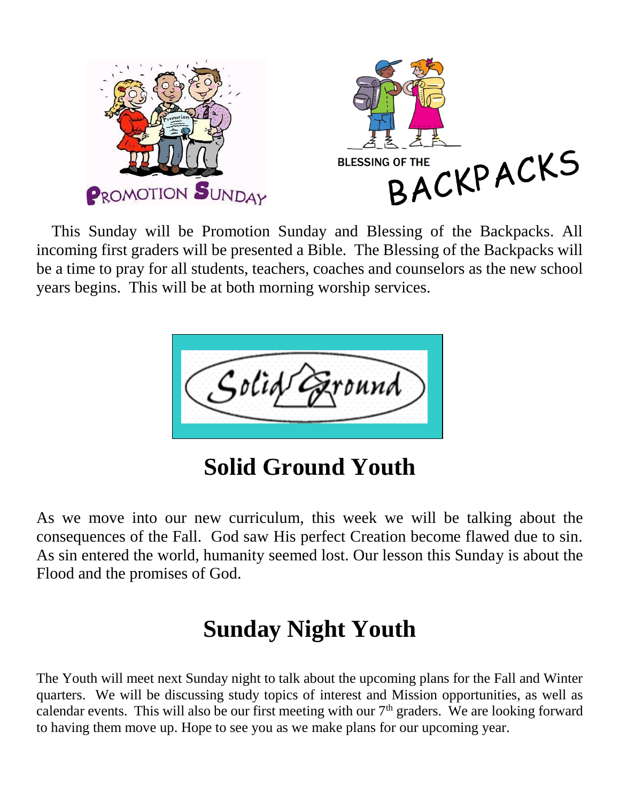

 This Sunday will be Promotion Sunday and Blessing of the Backpacks. All incoming first graders will be presented a Bible. The Blessing of the Backpacks will be a time to pray for all students, teachers, coaches and counselors as the new school years begins. This will be at both morning worship services.



**Solid Ground Youth** 

As we move into our new curriculum, this week we will be talking about the consequences of the Fall. God saw His perfect Creation become flawed due to sin. As sin entered the world, humanity seemed lost. Our lesson this Sunday is about the Flood and the promises of God.

# **Sunday Night Youth**

The Youth will meet next Sunday night to talk about the upcoming plans for the Fall and Winter quarters. We will be discussing study topics of interest and Mission opportunities, as well as calendar events. This will also be our first meeting with our  $7<sup>th</sup>$  graders. We are looking forward to having them move up. Hope to see you as we make plans for our upcoming year.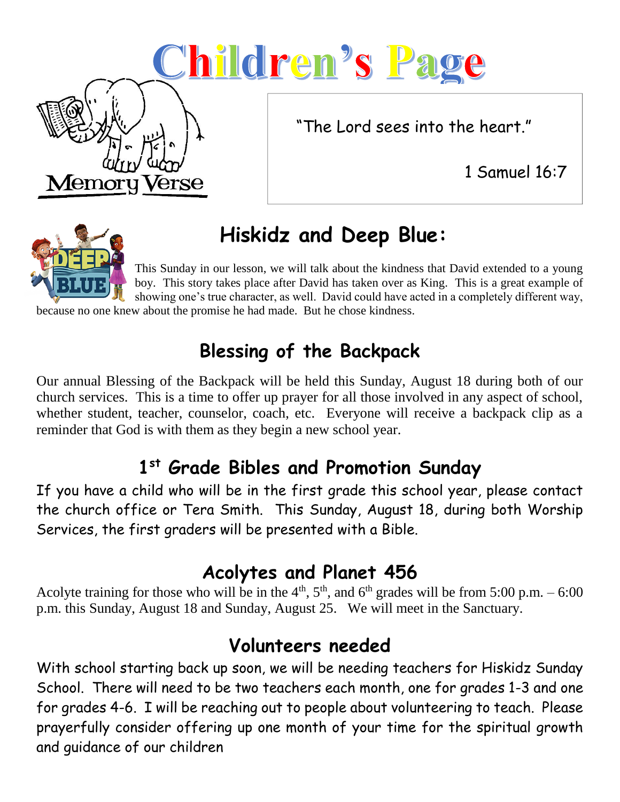# <u>Children's Page</u>

"The Lord sees into the heart."

1 Samuel 16:7



Memo

# **Hiskidz and Deep Blue:**

This Sunday in our lesson, we will talk about the kindness that David extended to a young boy. This story takes place after David has taken over as King. This is a great example of showing one's true character, as well. David could have acted in a completely different way,

because no one knew about the promise he had made. But he chose kindness.

## **Blessing of the Backpack**

Our annual Blessing of the Backpack will be held this Sunday, August 18 during both of our church services. This is a time to offer up prayer for all those involved in any aspect of school, whether student, teacher, counselor, coach, etc. Everyone will receive a backpack clip as a reminder that God is with them as they begin a new school year.

## **1 st Grade Bibles and Promotion Sunday**

If you have a child who will be in the first grade this school year, please contact the church office or Tera Smith. This Sunday, August 18, during both Worship Services, the first graders will be presented with a Bible.

#### **Acolytes and Planet 456**

Acolyte training for those who will be in the  $4<sup>th</sup>$ ,  $5<sup>th</sup>$ , and  $6<sup>th</sup>$  grades will be from 5:00 p.m. – 6:00 p.m. this Sunday, August 18 and Sunday, August 25. We will meet in the Sanctuary.

## **Volunteers needed**

With school starting back up soon, we will be needing teachers for Hiskidz Sunday School. There will need to be two teachers each month, one for grades 1-3 and one for grades 4-6. I will be reaching out to people about volunteering to teach. Please prayerfully consider offering up one month of your time for the spiritual growth and guidance of our children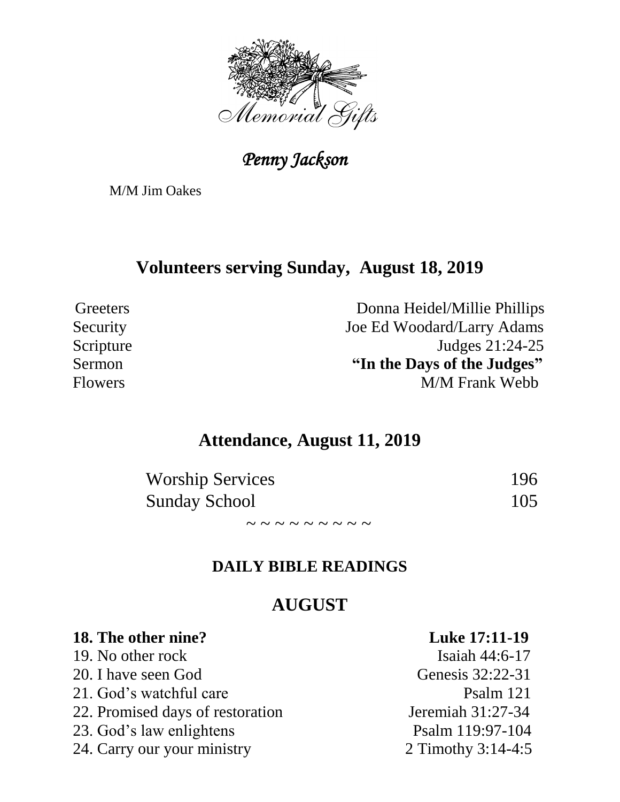

 *Penny Jackson* 

M/M Jim Oakes

#### **Volunteers serving Sunday, August 18, 2019**

Greeters Donna Heidel/Millie Phillips Security Joe Ed Woodard/Larry Adams Scripture Judges 21:24-25 Sermon **"In the Days of the Judges"** Flowers M/M Frank Webb

#### **Attendance, August 11, 2019**

| <b>Worship Services</b> | 196 |
|-------------------------|-----|
| <b>Sunday School</b>    | 105 |

 $\sim$   $\sim$   $\sim$   $\sim$   $\sim$   $\sim$   $\sim$ 

#### **DAILY BIBLE READINGS**

#### **AUGUST**

| 18. The other nine?              | <b>Luke 17:11-19</b> |
|----------------------------------|----------------------|
| 19. No other rock                | Isaiah 44:6-17       |
| 20. I have seen God              | Genesis 32:22-31     |
| 21. God's watchful care          | Psalm 121            |
| 22. Promised days of restoration | Jeremiah 31:27-34    |
| 23. God's law enlightens         | Psalm 119:97-104     |
| 24. Carry our your ministry      | 2 Timothy 3:14-4:5   |